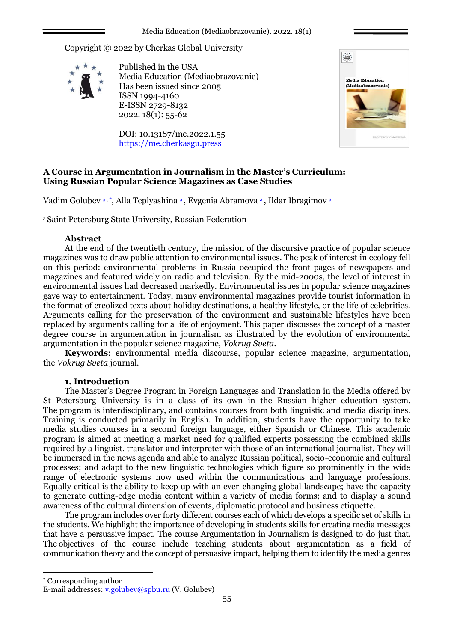Copyright © 2022 by Cherkas Global University



Published in the USA Media Education (Mediaobrazovanie) Has been issued since 2005 ISSN 1994-4160 E-ISSN 2729-8132 2022. 18(1): 55-62

DOI: 10.13187/me.2022.1.55 https://me.cherkasgu.press



# **A Course in Argumentation in Journalism in the Master's Curriculum: Using Russian Popular Science Magazines as Case Studies**

Vadim Golubeva, \*, Alla Teplyashina a, Evgenia Abramova a, Ildar Ibragimova

<sup>a</sup>Saint Petersburg State University, Russian Federation

## **Abstract**

At the end of the twentieth century, the mission of the discursive practice of popular science magazines was to draw public attention to environmental issues. The peak of interest in ecology fell on this period: environmental problems in Russia occupied the front pages of newspapers and magazines and featured widely on radio and television. By the mid-2000s, the level of interest in environmental issues had decreased markedly. Environmental issues in popular science magazines gave way to entertainment. Today, many environmental magazines provide tourist information in the format of creolized texts about holiday destinations, a healthy lifestyle, or the life of celebrities. Arguments calling for the preservation of the environment and sustainable lifestyles have been replaced by arguments calling for a life of enjoyment. This paper discusses the concept of a master degree course in argumentation in journalism as illustrated by the evolution of environmental argumentation in the popular science magazine, *Vokrug Sveta*.

**Keywords**: environmental media discourse, popular science magazine, argumentation, the *Vokrug Sveta* journal.

### **1. Introduction**

The Master's Degree Program in Foreign Languages and Translation in the Media offered by St Petersburg University is in a class of its own in the Russian higher education system. The program is interdisciplinary, and contains courses from both linguistic and media disciplines. Training is conducted primarily in English. In addition, students have the opportunity to take media studies courses in a second foreign language, either Spanish or Chinese. This academic program is aimed at meeting a market need for qualified experts possessing the combined skills required by a linguist, translator and interpreter with those of an international journalist. They will be immersed in the news agenda and able to analyze Russian political, socio-economic and cultural processes; and adapt to the new linguistic technologies which figure so prominently in the wide range of electronic systems now used within the communications and language professions. Equally critical is the ability to keep up with an ever-changing global landscape; have the capacity to generate cutting-edge media content within a variety of media forms; and to display a sound awareness of the cultural dimension of events, diplomatic protocol and business etiquette.

The program includes over forty different courses each of which develops a specific set of skills in the students. We highlight the importance of developing in students skills for creating media messages that have a persuasive impact. The course Argumentation in Journalism is designed to do just that. The objectives of the course include teaching students about argumentation as a field of communication theory and the concept of persuasive impact, helping them to identify the media genres

1

<sup>\*</sup> Corresponding author

E-mail addresses: [v.golubev@spbu.ru](mailto:v.golubev@spbu.ru) (V. Golubev)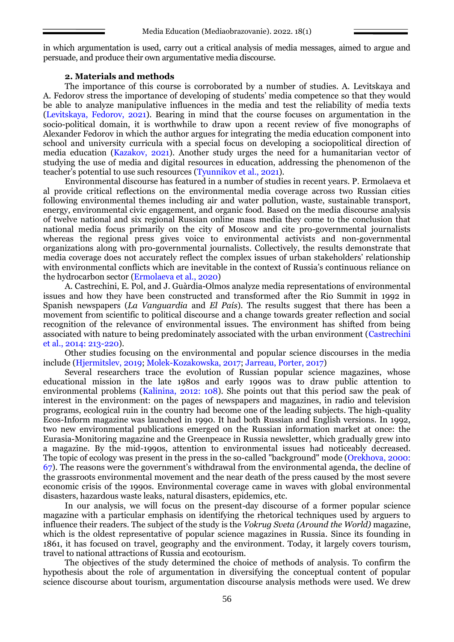in which argumentation is used, carry out a critical analysis of media messages, aimed to argue and persuade, and produce their own argumentative media discourse.

#### **2. Materials and methods**

The importance of this course is corroborated by a number of studies. A. Levitskaya and A. Fedorov stress the importance of developing of students' media competence so that they would be able to analyze manipulative influences in the media and test the reliability of media texts (Levitskaya, Fedorov, 2021). Bearing in mind that the course focuses on argumentation in the socio-political domain, it is worthwhile to draw upon a recent review of five monographs of Alexander Fedorov in which the author argues for integrating the media education component into school and university curricula with a special focus on developing a sociopolitical direction of media education (Kazakov, 2021). Another study urges the need for a humanitarian vector of studying the use of media and digital resources in education, addressing the phenomenon of the teacher's potential to use such resources (Tyunnikov et al., 2021).

Environmental discourse has featured in a number of studies in recent years. P. Ermolaeva et al provide critical reflections on the environmental media coverage across two Russian cities following environmental themes including air and water pollution, waste, sustainable transport, energy, environmental civic engagement, and organic food. Based on the media discourse analysis of twelve national and six regional Russian online mass media they come to the conclusion that national media focus primarily on the city of Moscow and cite pro-governmental journalists whereas the regional press gives voice to environmental activists and non-governmental organizations along with pro-governmental journalists. Collectively, the results demonstrate that media coverage does not accurately reflect the complex issues of urban stakeholders' relationship with environmental conflicts which are inevitable in the context of Russia's continuous reliance on the hydrocarbon sector (Ermolaeva et al., 2020)

A. Castrechini, E. Pol, and J. Guàrdia-Olmos analyze media representations of environmental issues and how they have been constructed and transformed after the Rio Summit in 1992 in Spanish newspapers (*La Vanguardia* and *El País*). The results suggest that there has been a movement from scientific to political discourse and a change towards greater reflection and social recognition of the relevance of environmental issues. The environment has shifted from being associated with nature to being predominately associated with the urban environment (Castrechini et al., 2014: 213-220).

Other studies focusing on the environmental and popular science discourses in the media include (Hjermitslev, 2019; Molek-Kozakowska, 2017; Jarreau, Porter, 2017)

Several researchers trace the evolution of Russian popular science magazines, whose educational mission in the late 1980s and early 1990s was to draw public attention to environmental problems (Kalinina, 2012: 108). She points out that this period saw the peak of interest in the environment: on the pages of newspapers and magazines, in radio and television programs, ecological ruin in the country had become one of the leading subjects. The high-quality Ecos-Inform magazine was launched in 1990. It had both Russian and English versions. In 1992, two new environmental publications emerged on the Russian information market at once: the Eurasia-Monitoring magazine and the Greenpeace in Russia newsletter, which gradually grew into a magazine. By the mid-1990s, attention to environmental issues had noticeably decreased. The topic of ecology was present in the press in the so-called "background" mode (Orekhova, 2000: 67). The reasons were the government's withdrawal from the environmental agenda, the decline of the grassroots environmental movement and the near death of the press caused by the most severe economic crisis of the 1990s. Environmental coverage came in waves with global environmental disasters, hazardous waste leaks, natural disasters, epidemics, etc.

In our analysis, we will focus on the present-day discourse of a former popular science magazine with a particular emphasis on identifying the rhetorical techniques used by arguers to influence their readers. The subject of the study is the *Vokrug Sveta (Around the World)* magazine, which is the oldest representative of popular science magazines in Russia. Since its founding in 1861, it has focused on travel, geography and the environment. Today, it largely covers tourism, travel to national attractions of Russia and ecotourism.

The objectives of the study determined the choice of methods of analysis. To confirm the hypothesis about the role of argumentation in diversifying the conceptual content of popular science discourse about tourism, argumentation discourse analysis methods were used. We drew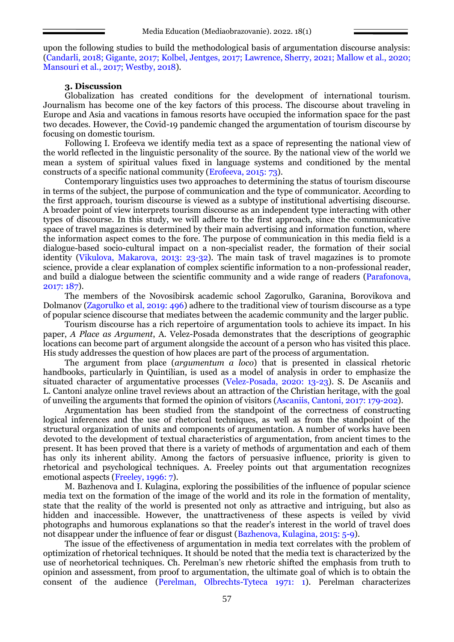upon the following studies to build the methodological basis of argumentation discourse analysis: (Candarli, 2018; Gigante, 2017; Kolbel, Jentges, 2017; Lawrence, Sherry, 2021; Mallow et al., 2020; Mansouri et al., 2017; Westby, 2018).

### **3. Discussion**

Globalization has created conditions for the development of international tourism. Journalism has become one of the key factors of this process. The discourse about traveling in Europe and Asia and vacations in famous resorts have occupied the information space for the past two decades. However, the Covid-19 pandemic changed the argumentation of tourism discourse by focusing on domestic tourism.

Following I. Erofeeva we identify media text as a space of representing the national view of the world reflected in the linguistic personality of the source. By the national view of the world we mean a system of spiritual values fixed in language systems and conditioned by the mental constructs of a specific national community (Erofeeva, 2015: 73).

Contemporary linguistics uses two approaches to determining the status of tourism discourse in terms of the subject, the purpose of communication and the type of communicator. According to the first approach, tourism discourse is viewed as a subtype of institutional advertising discourse. A broader point of view interprets tourism discourse as an independent type interacting with other types of discourse. In this study, we will adhere to the first approach, since the communicative space of travel magazines is determined by their main advertising and information function, where the information aspect comes to the fore. The purpose of communication in this media field is a dialogue-based socio-cultural impact on a non-specialist reader, the formation of their social identity (Vikulova, Makarova, 2013: 23-32). The main task of travel magazines is to promote science, provide a clear explanation of complex scientific information to a non-professional reader, and build a dialogue between the scientific community and a wide range of readers (Parafonova, 2017: 187).

The members of the Novosibirsk academic school Zagorulko, Garanina, Borovikova and Dolmanov (Zagorulko et al, 2019: 496) adhere to the traditional view of tourism discourse as a type of popular science discourse that mediates between the academic community and the larger public.

Tourism discourse has a rich repertoire of argumentation tools to achieve its impact. In his paper, *A Place as Argument*, А. Velez-Posada demonstrates that the descriptions of geographic locations can become part of argument alongside the account of a person who has visited this place. His study addresses the question of how places are part of the process of argumentation.

The argument from place (*argumentum a loco*) that is presented in classical rhetoric handbooks, particularly in Quintilian, is used as a model of analysis in order to emphasize the situated character of argumentative processes (Velez-Posada, 2020: 13-23). S. De Ascaniis and L. Cantoni analyze online travel reviews about an attraction of the Christian heritage, with the goal of unveiling the arguments that formed the opinion of visitors (Ascaniis, Cantoni, 2017: 179-202).

Argumentation has been studied from the standpoint of the correctness of constructing logical inferences and the use of rhetorical techniques, as well as from the standpoint of the structural organization of units and components of argumentation. A number of works have been devoted to the development of textual characteristics of argumentation, from ancient times to the present. It has been proved that there is a variety of methods of argumentation and each of them has only its inherent ability. Among the factors of persuasive influence, priority is given to rhetorical and psychological techniques. A. Freeley points out that argumentation recognizes emotional aspects (Freeley, 1996: 7).

M. Bazhenova and I. Kulagina, exploring the possibilities of the influence of popular science media text on the formation of the image of the world and its role in the formation of mentality, state that the reality of the world is presented not only as attractive and intriguing, but also as hidden and inaccessible. However, the unattractiveness of these aspects is veiled by vivid photographs and humorous explanations so that the reader's interest in the world of travel does not disappear under the influence of fear or disgust (Bazhenova, Kulagina, 2015: 5-9).

The issue of the effectiveness of argumentation in media text correlates with the problem of optimization of rhetorical techniques. It should be noted that the media text is characterized by the use of neorhetorical techniques. Ch. Perelman's new rhetoric shifted the emphasis from truth to opinion and assessment, from proof to argumentation, the ultimate goal of which is to obtain the consent of the audience (Perelman, Olbrechts-Tyteca 1971: 1). Perelman characterizes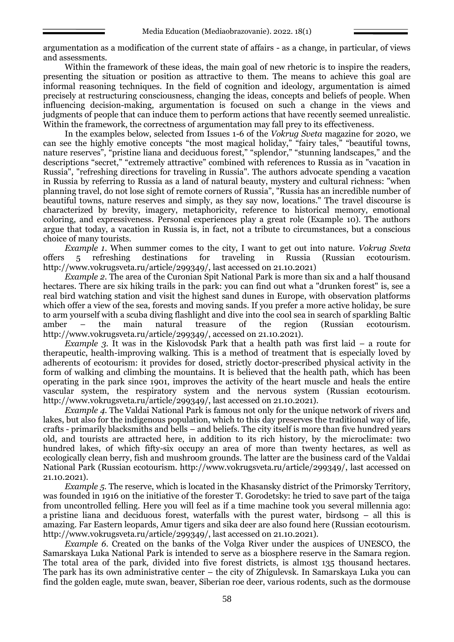argumentation as a modification of the current state of affairs - as a change, in particular, of views and assessments.

Within the framework of these ideas, the main goal of new rhetoric is to inspire the readers, presenting the situation or position as attractive to them. The means to achieve this goal are informal reasoning techniques. In the field of cognition and ideology, argumentation is aimed precisely at restructuring consciousness, changing the ideas, concepts and beliefs of people. When influencing decision-making, argumentation is focused on such a change in the views and judgments of people that can induce them to perform actions that have recently seemed unrealistic. Within the framework, the correctness of argumentation may fall prey to its effectiveness.

In the examples below, selected from Issues 1-6 of the *Vokrug Sveta* magazine for 2020, we can see the highly emotive concepts "the most magical holiday," "fairy tales," "beautiful towns, nature reserves", "pristine liana and deciduous forest," "splendor," "stunning landscapes," and the descriptions "secret," "extremely attractive" combined with references to Russia as in "vacation in Russia", "refreshing directions for traveling in Russia". The authors advocate spending a vacation in Russia by referring to Russia as a land of natural beauty, mystery and cultural richness: "when planning travel, do not lose sight of remote corners of Russia", "Russia has an incredible number of beautiful towns, nature reserves and simply, as they say now, locations." The travel discourse is characterized by brevity, imagery, metaphoricity, reference to historical memory, emotional coloring, and expressiveness. Personal experiences play a great role (Example 10). The authors argue that today, a vacation in Russia is, in fact, not a tribute to circumstances, but a conscious choice of many tourists.

*Example 1.* When summer comes to the city, I want to get out into nature. *Vokrug Sveta*<br>5 refreshing destinations for traveling in Russia (Russian ecotourism. offers 5 refreshing destinations for traveling in Russia (Russian ecotourism. http://www.vokrugsveta.ru/article/299349/, last accessed on 21.10.2021)

*Example 2.* The area of the Curonian Spit National Park is more than six and a half thousand hectares. There are six hiking trails in the park: you can find out what a "drunken forest" is, see a real bird watching station and visit the highest sand dunes in Europe, with observation platforms which offer a view of the sea, forests and moving sands. If you prefer a more active holiday, be sure to arm yourself with a scuba diving flashlight and dive into the cool sea in search of sparkling Baltic amber – the main natural treasure of the region (Russian ecotourism. http://www.vokrugsveta.ru/article/299349/, accessed on 21.10.2021).

*Example 3.* It was in the Kislovodsk Park that a health path was first laid – a route for therapeutic, health-improving walking. This is a method of treatment that is especially loved by adherents of ecotourism: it provides for dosed, strictly doctor-prescribed physical activity in the form of walking and climbing the mountains. It is believed that the health path, which has been operating in the park since 1901, improves the activity of the heart muscle and heals the entire vascular system, the respiratory system and the nervous system (Russian ecotourism. http://www.vokrugsveta.ru/article/299349/, last accessed on 21.10.2021).

*Example 4.* The Valdai National Park is famous not only for the unique network of rivers and lakes, but also for the indigenous population, which to this day preserves the traditional way of life, crafts - primarily blacksmiths and bells – and beliefs. The city itself is more than five hundred years old, and tourists are attracted here, in addition to its rich history, by the microclimate: two hundred lakes, of which fifty-six occupy an area of more than twenty hectares, as well as ecologically clean berry, fish and mushroom grounds. The latter are the business card of the Valdai National Park (Russian ecotourism. http://www.vokrugsveta.ru/article/299349/, last accessed on 21.10.2021).

*Example 5.* The reserve, which is located in the Khasansky district of the Primorsky Territory, was founded in 1916 on the initiative of the forester T. Gorodetsky: he tried to save part of the taiga from uncontrolled felling. Here you will feel as if a time machine took you several millennia ago: a pristine liana and deciduous forest, waterfalls with the purest water, birdsong – all this is amazing. Far Eastern leopards, Amur tigers and sika deer are also found here (Russian ecotourism. http://www.vokrugsveta.ru/article/299349/, last accessed on 21.10.2021).

*Example 6.* Created on the banks of the Volga River under the auspices of UNESCO, the Samarskaya Luka National Park is intended to serve as a biosphere reserve in the Samara region. The total area of the park, divided into five forest districts, is almost 135 thousand hectares. The park has its own administrative center – the city of Zhigulevsk. In Samarskaya Luka you can find the golden eagle, mute swan, beaver, Siberian roe deer, various rodents, such as the dormouse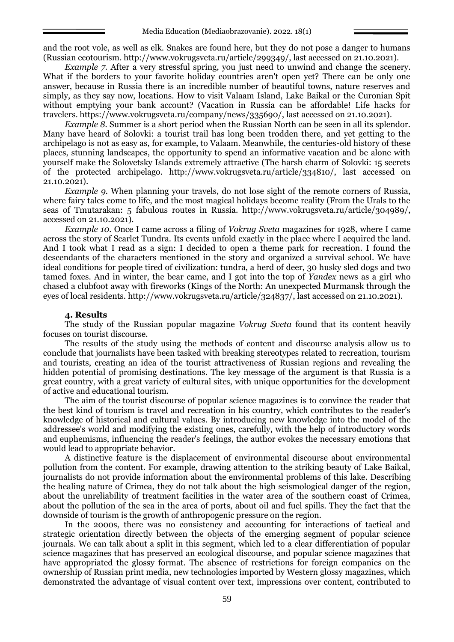and the root vole, as well as elk. Snakes are found here, but they do not pose a danger to humans (Russian ecotourism. http://www.vokrugsveta.ru/article/299349/, last accessed on 21.10.2021).

*Example 7.* After a very stressful spring, you just need to unwind and change the scenery. What if the borders to your favorite holiday countries aren't open yet? There can be only one answer, because in Russia there is an incredible number of beautiful towns, nature reserves and simply, as they say now, locations. How to visit Valaam Island, Lake Baikal or the Curonian Spit without emptying your bank account? (Vacation in Russia can be affordable! Life hacks for travelers. https://www.vokrugsveta.ru/company/news/335690/, last accessed on 21.10.2021).

*Example 8.* Summer is a short period when the Russian North can be seen in all its splendor. Many have heard of Solovki: a tourist trail has long been trodden there, and yet getting to the archipelago is not as easy as, for example, to Valaam. Meanwhile, the centuries-old history of these places, stunning landscapes, the opportunity to spend an informative vacation and be alone with yourself make the Solovetsky Islands extremely attractive (The harsh charm of Solovki: 15 secrets of the protected archipelago. http://www.vokrugsveta.ru/article/334810/, last accessed on 21.10.2021).

*Example 9.* When planning your travels, do not lose sight of the remote corners of Russia, where fairy tales come to life, and the most magical holidays become reality (From the Urals to the seas of Tmutarakan: 5 fabulous routes in Russia. http://www.vokrugsveta.ru/article/304989/, accessed on 21.10.2021).

*Example 10.* Once I came across a filing of *Vokrug Sveta* magazines for 1928, where I came across the story of Scarlet Tundra. Its events unfold exactly in the place where I acquired the land. And I took what I read as a sign: I decided to open a theme park for recreation. I found the descendants of the characters mentioned in the story and organized a survival school. We have ideal conditions for people tired of civilization: tundra, a herd of deer, 30 husky sled dogs and two tamed foxes. And in winter, the bear came, and I got into the top of *Yandex* news as a girl who chased a clubfoot away with fireworks (Kings of the North: An unexpected Murmansk through the eyes of local residents. http://www.vokrugsveta.ru/article/324837/, last accessed on 21.10.2021).

#### **4. Results**

The study of the Russian popular magazine *Vokrug Sveta* found that its content heavily focuses on tourist discourse.

The results of the study using the methods of content and discourse analysis allow us to conclude that journalists have been tasked with breaking stereotypes related to recreation, tourism and tourists, creating an idea of the tourist attractiveness of Russian regions and revealing the hidden potential of promising destinations. The key message of the argument is that Russia is a great country, with a great variety of cultural sites, with unique opportunities for the development of active and educational tourism.

The aim of the tourist discourse of popular science magazines is to convince the reader that the best kind of tourism is travel and recreation in his country, which contributes to the reader's knowledge of historical and cultural values. By introducing new knowledge into the model of the addressee's world and modifying the existing ones, carefully, with the help of introductory words and euphemisms, influencing the reader's feelings, the author evokes the necessary emotions that would lead to appropriate behavior.

A distinctive feature is the displacement of environmental discourse about environmental pollution from the content. For example, drawing attention to the striking beauty of Lake Baikal, journalists do not provide information about the environmental problems of this lake. Describing the healing nature of Crimea, they do not talk about the high seismological danger of the region, about the unreliability of treatment facilities in the water area of the southern coast of Crimea, about the pollution of the sea in the area of ports, about oil and fuel spills. They the fact that the downside of tourism is the growth of anthropogenic pressure on the region.

In the 2000s, there was no consistency and accounting for interactions of tactical and strategic orientation directly between the objects of the emerging segment of popular science journals. We can talk about a split in this segment, which led to a clear differentiation of popular science magazines that has preserved an ecological discourse, and popular science magazines that have appropriated the glossy format. The absence of restrictions for foreign companies on the ownership of Russian print media, new technologies imported by Western glossy magazines, which demonstrated the advantage of visual content over text, impressions over content, contributed to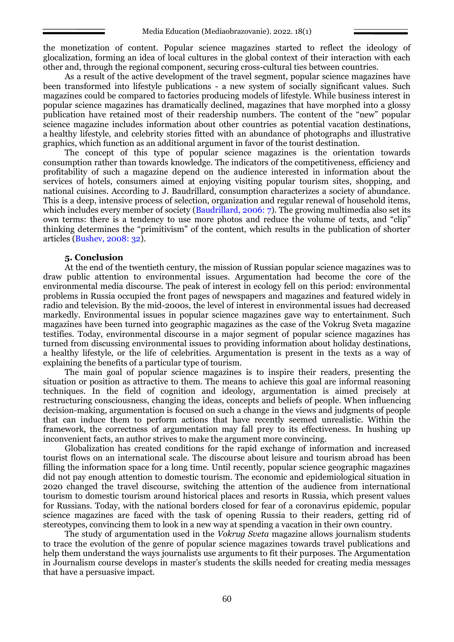the monetization of content. Popular science magazines started to reflect the ideology of glocalization, forming an idea of local cultures in the global context of their interaction with each other and, through the regional component, securing cross-cultural ties between countries.

As a result of the active development of the travel segment, popular science magazines have been transformed into lifestyle publications - a new system of socially significant values. Such magazines could be compared to factories producing models of lifestyle. While business interest in popular science magazines has dramatically declined, magazines that have morphed into a glossy publication have retained most of their readership numbers. The content of the "new" popular science magazine includes information about other countries as potential vacation destinations, a healthy lifestyle, and celebrity stories fitted with an abundance of photographs and illustrative graphics, which function as an additional argument in favor of the tourist destination.

The concept of this type of popular science magazines is the orientation towards consumption rather than towards knowledge. The indicators of the competitiveness, efficiency and profitability of such a magazine depend on the audience interested in information about the services of hotels, consumers aimed at enjoying visiting popular tourism sites, shopping, and national cuisines. According to J. Baudrillard, consumption characterizes a society of abundance. This is a deep, intensive process of selection, organization and regular renewal of household items, which includes every member of society (Baudrillard, 2006: 7). The growing multimedia also set its own terms: there is a tendency to use more photos and reduce the volume of texts, and "clip" thinking determines the "primitivism" of the content, which results in the publication of shorter articles (Bushev, 2008: 32).

#### **5. Conclusion**

At the end of the twentieth century, the mission of Russian popular science magazines was to draw public attention to environmental issues. Argumentation had become the core of the environmental media discourse. The peak of interest in ecology fell on this period: environmental problems in Russia occupied the front pages of newspapers and magazines and featured widely in radio and television. By the mid-2000s, the level of interest in environmental issues had decreased markedly. Environmental issues in popular science magazines gave way to entertainment. Such magazines have been turned into geographic magazines as the case of the Vokrug Sveta magazine testifies. Today, environmental discourse in a major segment of popular science magazines has turned from discussing environmental issues to providing information about holiday destinations, a healthy lifestyle, or the life of celebrities. Argumentation is present in the texts as a way of explaining the benefits of a particular type of tourism.

The main goal of popular science magazines is to inspire their readers, presenting the situation or position as attractive to them. The means to achieve this goal are informal reasoning techniques. In the field of cognition and ideology, argumentation is aimed precisely at restructuring consciousness, changing the ideas, concepts and beliefs of people. When influencing decision-making, argumentation is focused on such a change in the views and judgments of people that can induce them to perform actions that have recently seemed unrealistic. Within the framework, the correctness of argumentation may fall prey to its effectiveness. In hushing up inconvenient facts, an author strives to make the argument more convincing.

Globalization has created conditions for the rapid exchange of information and increased tourist flows on an international scale. The discourse about leisure and tourism abroad has been filling the information space for a long time. Until recently, popular science geographic magazines did not pay enough attention to domestic tourism. The economic and epidemiological situation in 2020 changed the travel discourse, switching the attention of the audience from international tourism to domestic tourism around historical places and resorts in Russia, which present values for Russians. Today, with the national borders closed for fear of a coronavirus epidemic, popular science magazines are faced with the task of opening Russia to their readers, getting rid of stereotypes, convincing them to look in a new way at spending a vacation in their own country.

The study of argumentation used in the *Vokrug Sveta* magazine allows journalism students to trace the evolution of the genre of popular science magazines towards travel publications and help them understand the ways journalists use arguments to fit their purposes. The Argumentation in Journalism course develops in master's students the skills needed for creating media messages that have a persuasive impact.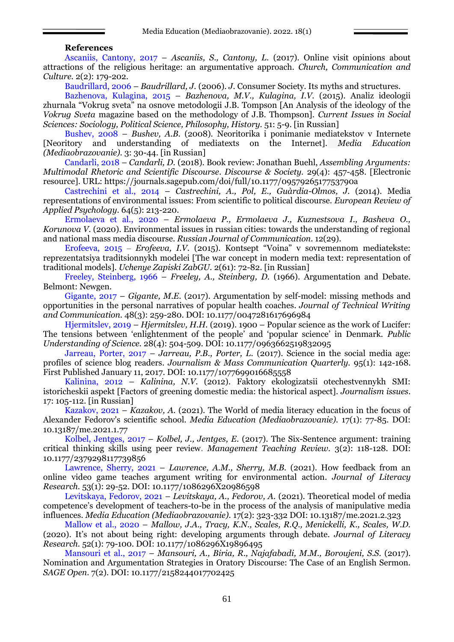### **References**

Ascaniis, Cantony, 2017 – *Ascaniis, S., Cantony, L.* (2017). Online visit opinions about attractions of the religious heritage: an argumentative approach. *Church, Communication and Culture.* 2(2): 179-202.

Baudrillard, 2006 – *Baudrillard, J.* (2006). *J.* Consumer Society. Its myths and structures.

Bazhenova, Kulagina, 2015 – *Bazhenova, M.V., Kulagina, I.V.* (2015). Analiz ideologii zhurnala "Vokrug sveta" na osnove metodologii J.B. Tompson [An Analysis of the ideology of the *Vokrug Sveta* magazine based on the methodology of J.B. Thompson]. *Current Issues in Social Sciences: Sociology, Political Science, Philosophy, History.* 51: 5-9. [in Russian]

Bushev, 2008 – *Bushev, A.B.* (2008)*.* Neoritorika i ponimanie mediatekstov v Internete [Neoritory and understanding of mediatexts on the Internet]. *Media Education (Mediaobrazovanie).* 3: 30-44. [in Russian]

Candarli, 2018 – *Candarli, D.* (2018). Book review: Jonathan Buehl, *Assembling Arguments: Multimodal Rhetoric and Scientific Discourse*. *Discourse & Society.* 29(4): 457-458. [Electronic resource]. URL:<https://journals.sagepub.com/doi/full/10.1177/0957926517753790a>

Castrechini et al., 2014 – *Castrechini, A., Pol, E., Guàrdia-Olmos, J.* (2014). Media representations of environmental issues: From scientific to political discourse. *European Review of Applied Psychology.* 64(5): 213-220.

Ermolaeva et al., 2020 – *Ermolaeva P., Ermolaeva J., Kuznestsova I., Basheva O., Korunova V.* (2020). Environmental issues in russian cities: towards the understanding of regional and national mass media discourse. *Russian Journal of Communication.* 12(29).

Erofeeva, 2015 *‒ Erofeeva, I.V.* (2015). Kontsept "Voina" v sovremennom mediatekste: reprezentatsiya traditsionnykh modelei [The war concept in modern media text: representation of traditional models]. *Uchenye Zapiski ZabGU.* 2(61): 72-82. [in Russian]

Freeley, Steinberg, 1966 – *Freeley, A., Steinberg, D.* (1966). Argumentation and Debate. Belmont: Newgen.

Gigante, 2017 – *[Gigante,](https://journals.sagepub.com/action/doSearch?field1=AllField&text1=teaching+argumentation&field2=AllField&text2=&Ppub=&Ppub=&AfterYear=2017&BeforeYear=2021&earlycite=on&access=) M.E.* (2017). [Argumentation by self-model: missing methods and](https://journals.sagepub.com/doi/full/10.1177/0047281617696984)  [opportunities in the personal narratives of popular health coaches.](https://journals.sagepub.com/doi/full/10.1177/0047281617696984) *Journal of Technical Writing and Communication.* 48(3): 259-280. DOI[: 10.1177/0047281617696984](https://journals.sagepub.com/doi/full/10.1177/0047281617696984)

Hjermitslev, 2019 – *Hjermitslev, H.H.* (2019). 1900 – Popular science as the work of Lucifer: The tensions between 'enlightenment of the people' and 'popular science' in Denmark. *Public Understanding of Science.* 28(4): 504-509. DOI: [10.1177/0963662519832095](https://journals.sagepub.com/doi/full/10.1177/0963662519832095)

Jarreau, Porter, 2017 – *Jarreau, P.B., Porter, L.* (2017). [Science in the social media age:](https://journals.sagepub.com/action/doSearch?content=articlesChapters&countTerms=true&target=default&field1=AllField&text1=popular+science+magazine&field2=AllField&text2=&Ppub=&Ppub=&AfterYear=2017&BeforeYear=2021&earlycite=on&access=)  [profiles of science blog readers.](https://journals.sagepub.com/action/doSearch?content=articlesChapters&countTerms=true&target=default&field1=AllField&text1=popular+science+magazine&field2=AllField&text2=&Ppub=&Ppub=&AfterYear=2017&BeforeYear=2021&earlycite=on&access=) *Journalism & Mass Communication Quarterly.* 95(1): 142-168. First Published January 11, 2017. DOI: [10.1177/1077699016685558](https://journals.sagepub.com/doi/full/10.1177/1077699016685558)

Kalinina, 2012 – *Kalinina, N.V.* (2012). Faktory ekologizatsii otechestvennykh SMI: istoricheskii aspekt [Factors of greening domestic media: the historical aspect]. *Journalism issues.* 17: 105-112. [in Russian]

Kazakov, 2021 – *Kazakov, A.* (2021). The World of media literacy education in the focus of Alexander Fedorov's scientific school. *Media Education (Mediaobrazovanie).* 17(1): 77-85. DOI: 10.13187/me.2021.1.77

Kolbel, Jentges, 2017 – *Kolbel, J., Jentges, E.* (2017). The Six-Sentence argument: training critical thinking skills using peer review. *Management Teaching Review.* 3(2): 118-128. DOI: [10.1177/2379298117739856](https://journals.sagepub.com/doi/full/10.1177/2379298117739856)

Lawrence, Sherry, 2021 – *[Lawrence,](https://journals.sagepub.com/action/doSearch?field1=AllField&text1=teaching+argumentation&field2=AllField&text2=&Ppub=&Ppub=&AfterYear=2017&BeforeYear=2021&earlycite=on&access=) A.M., Sherry, M.B.* (2021). How feedback from an online video game teaches argument writing for environmental action. *Journal of Literacy Research.* 53(1): 29-52. DOI: 10.1177/1086296X20986598

Levitskaya, Fedorov, 2021 – *Levitskaya, A., Fedorov, A.* (2021). Theoretical model of media competence's development of teachers-to-be in the process of the analysis of manipulative media influences. *Media Education (Mediaobrazovanie).* 17(2): 323-332 DOI: 10.13187/me.2021.2.323

Mallow et al., 2020 – *Mallow, J.A., Tracy, K.N., Scales, R.Q., Menickelli, K., Scales, W.D.* (2020). It's not about being right: developing arguments through debate. *Journal of Literacy Research.* 52(1): 79-100. DOI: 10.1177/1086296X19896495

Mansouri et al., 2017 – *Mansouri, A., Biria, R., Najafabadi, M.M., Boroujeni, S.S.* (2017). Nomination and Argumentation Strategies in Oratory Discourse: The Case of an English Sermon. *SAGE Open.* 7(2). DOI: 10.1177/2158244017702425